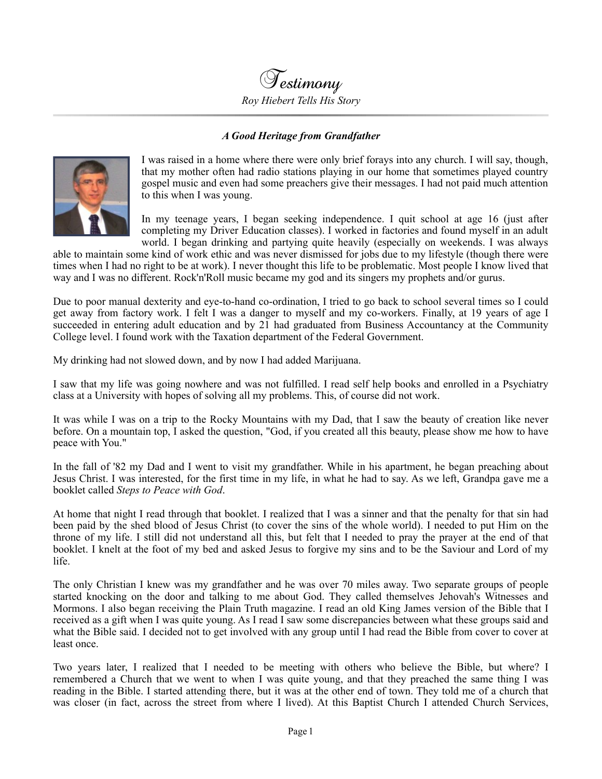Testimony *Roy Hiebert Tells His Story*

## *A Good Heritage from Grandfather*



I was raised in a home where there were only brief forays into any church. I will say, though, that my mother often had radio stations playing in our home that sometimes played country gospel music and even had some preachers give their messages. I had not paid much attention to this when I was young.

In my teenage years, I began seeking independence. I quit school at age 16 (just after completing my Driver Education classes). I worked in factories and found myself in an adult world. I began drinking and partying quite heavily (especially on weekends. I was always

able to maintain some kind of work ethic and was never dismissed for jobs due to my lifestyle (though there were times when I had no right to be at work). I never thought this life to be problematic. Most people I know lived that way and I was no different. Rock'n'Roll music became my god and its singers my prophets and/or gurus.

Due to poor manual dexterity and eye-to-hand co-ordination, I tried to go back to school several times so I could get away from factory work. I felt I was a danger to myself and my co-workers. Finally, at 19 years of age I succeeded in entering adult education and by 21 had graduated from Business Accountancy at the Community College level. I found work with the Taxation department of the Federal Government.

My drinking had not slowed down, and by now I had added Marijuana.

I saw that my life was going nowhere and was not fulfilled. I read self help books and enrolled in a Psychiatry class at a University with hopes of solving all my problems. This, of course did not work.

It was while I was on a trip to the Rocky Mountains with my Dad, that I saw the beauty of creation like never before. On a mountain top, I asked the question, "God, if you created all this beauty, please show me how to have peace with You."

In the fall of '82 my Dad and I went to visit my grandfather. While in his apartment, he began preaching about Jesus Christ. I was interested, for the first time in my life, in what he had to say. As we left, Grandpa gave me a booklet called *Steps to Peace with God*.

At home that night I read through that booklet. I realized that I was a sinner and that the penalty for that sin had been paid by the shed blood of Jesus Christ (to cover the sins of the whole world). I needed to put Him on the throne of my life. I still did not understand all this, but felt that I needed to pray the prayer at the end of that booklet. I knelt at the foot of my bed and asked Jesus to forgive my sins and to be the Saviour and Lord of my life.

The only Christian I knew was my grandfather and he was over 70 miles away. Two separate groups of people started knocking on the door and talking to me about God. They called themselves Jehovah's Witnesses and Mormons. I also began receiving the Plain Truth magazine. I read an old King James version of the Bible that I received as a gift when I was quite young. As I read I saw some discrepancies between what these groups said and what the Bible said. I decided not to get involved with any group until I had read the Bible from cover to cover at least once.

Two years later, I realized that I needed to be meeting with others who believe the Bible, but where? I remembered a Church that we went to when I was quite young, and that they preached the same thing I was reading in the Bible. I started attending there, but it was at the other end of town. They told me of a church that was closer (in fact, across the street from where I lived). At this Baptist Church I attended Church Services,